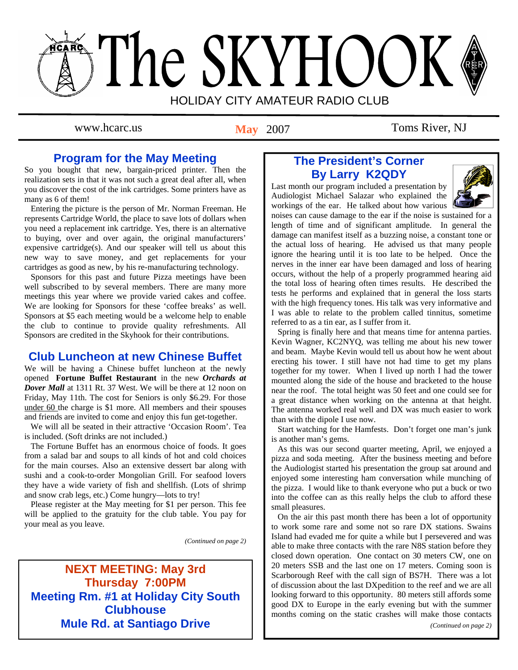# The SKYHOOK HOLIDAY CITY AMATEUR RADIO CLUB

**May** 2007

www.hcarc.us May 2007 Toms River, NJ

# **Program for the May Meeting**

So you bought that new, bargain-priced printer. Then the realization sets in that it was not such a great deal after all, when you discover the cost of the ink cartridges. Some printers have as many as 6 of them!

 Entering the picture is the person of Mr. Norman Freeman. He represents Cartridge World, the place to save lots of dollars when you need a replacement ink cartridge. Yes, there is an alternative to buying, over and over again, the original manufacturers' expensive cartridge(s). And our speaker will tell us about this new way to save money, and get replacements for your cartridges as good as new, by his re-manufacturing technology.

 Sponsors for this past and future Pizza meetings have been well subscribed to by several members. There are many more meetings this year where we provide varied cakes and coffee. We are looking for Sponsors for these 'coffee breaks' as well. Sponsors at \$5 each meeting would be a welcome help to enable the club to continue to provide quality refreshments. All Sponsors are credited in the Skyhook for their contributions.

# **Club Luncheon at new Chinese Buffet**

We will be having a Chinese buffet luncheon at the newly opened **Fortune Buffet Restaurant** in the new *Orchards at Dover Mall* at 1311 Rt. 37 West. We will be there at 12 noon on Friday, May 11th. The cost for Seniors is only \$6.29. For those under 60 the charge is \$1 more. All members and their spouses and friends are invited to come and enjoy this fun get-together.

 We will all be seated in their attractive 'Occasion Room'. Tea is included. (Soft drinks are not included.)

 The Fortune Buffet has an enormous choice of foods. It goes from a salad bar and soups to all kinds of hot and cold choices for the main courses. Also an extensive dessert bar along with sushi and a cook-to-order Mongolian Grill. For seafood lovers they have a wide variety of fish and shellfish. (Lots of shrimp and snow crab legs, etc.) Come hungry—lots to try!

 Please register at the May meeting for \$1 per person. This fee will be applied to the gratuity for the club table. You pay for your meal as you leave.

*(Continued on page 2)* 

# **NEXT MEETING: May 3rd Thursday 7:00PM Meeting Rm. #1 at Holiday City South Clubhouse Mule Rd. at Santiago Drive**

# **The President's Corner By Larry K2QDY**

Last month our program included a presentation by Audiologist Michael Salazar who explained the workings of the ear. He talked about how various



noises can cause damage to the ear if the noise is sustained for a length of time and of significant amplitude. In general the damage can manifest itself as a buzzing noise, a constant tone or the actual loss of hearing. He advised us that many people ignore the hearing until it is too late to be helped. Once the nerves in the inner ear have been damaged and loss of hearing occurs, without the help of a properly programmed hearing aid the total loss of hearing often times results. He described the tests he performs and explained that in general the loss starts with the high frequency tones. His talk was very informative and I was able to relate to the problem called tinnitus, sometime referred to as a tin ear, as I suffer from it.

 Spring is finally here and that means time for antenna parties. Kevin Wagner, KC2NYQ, was telling me about his new tower and beam. Maybe Kevin would tell us about how he went about erecting his tower. I still have not had time to get my plans together for my tower. When I lived up north I had the tower mounted along the side of the house and bracketed to the house near the roof. The total height was 50 feet and one could see for a great distance when working on the antenna at that height. The antenna worked real well and DX was much easier to work than with the dipole I use now.

 Start watching for the Hamfests. Don't forget one man's junk is another man's gems.

 As this was our second quarter meeting, April, we enjoyed a pizza and soda meeting. After the business meeting and before the Audiologist started his presentation the group sat around and enjoyed some interesting ham conversation while munching of the pizza. I would like to thank everyone who put a buck or two into the coffee can as this really helps the club to afford these small pleasures.

 On the air this past month there has been a lot of opportunity to work some rare and some not so rare DX stations. Swains Island had evaded me for quite a while but I persevered and was able to make three contacts with the rare N8S station before they closed down operation. One contact on 30 meters CW, one on 20 meters SSB and the last one on 17 meters. Coming soon is Scarborough Reef with the call sign of BS7H. There was a lot of discussion about the last DXpedition to the reef and we are all looking forward to this opportunity. 80 meters still affords some good DX to Europe in the early evening but with the summer months coming on the static crashes will make those contacts

*(Continued on page 2)*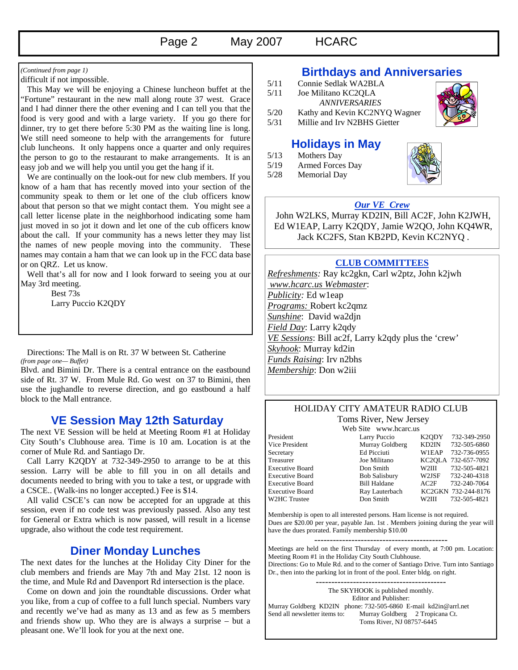#### difficult if not impossible.

 This May we will be enjoying a Chinese luncheon buffet at the "Fortune" restaurant in the new mall along route 37 west. Grace and I had dinner there the other evening and I can tell you that the food is very good and with a large variety. If you go there for dinner, try to get there before 5:30 PM as the waiting line is long. We still need someone to help with the arrangements for future club luncheons. It only happens once a quarter and only requires the person to go to the restaurant to make arrangements. It is an easy job and we will help you until you get the hang if it.

 We are continually on the look-out for new club members. If you know of a ham that has recently moved into your section of the community speak to them or let one of the club officers know about that person so that we might contact them. You might see a call letter license plate in the neighborhood indicating some ham just moved in so jot it down and let one of the cub officers know about the call. If your community has a news letter they may list the names of new people moving into the community. These names may contain a ham that we can look up in the FCC data base or on QRZ. Let us know.

 Well that's all for now and I look forward to seeing you at our May 3rd meeting.

 Best 73s Larry Puccio K2QDY

 Directions: The Mall is on Rt. 37 W between St. Catherine *(from page one— Buffet)* 

Blvd. and Bimini Dr. There is a central entrance on the eastbound side of Rt. 37 W. From Mule Rd. Go west on 37 to Bimini, then use the jughandle to reverse direction, and go eastbound a half block to the Mall entrance.

# **VE Session May 12th Saturday**

The next VE Session will be held at Meeting Room #1 at Holiday City South's Clubhouse area. Time is 10 am. Location is at the corner of Mule Rd. and Santiago Dr.

 Call Larry K2QDY at 732-349-2950 to arrange to be at this session. Larry will be able to fill you in on all details and documents needed to bring with you to take a test, or upgrade with a CSCE.. (Walk-ins no longer accepted.) Fee is \$14.

 All valid CSCE's can now be accepted for an upgrade at this session, even if no code test was previously passed. Also any test for General or Extra which is now passed, will result in a license upgrade, also without the code test requirement.

# **Diner Monday Lunches**

The next dates for the lunches at the Holiday City Diner for the club members and friends are May 7th and May 21st. 12 noon is the time, and Mule Rd and Davenport Rd intersection is the place.

 Come on down and join the roundtable discussions. Order what you like, from a cup of coffee to a full lunch special. Numbers vary and recently we've had as many as 13 and as few as 5 members and friends show up. Who they are is always a surprise – but a pleasant one. We'll look for you at the next one.

# *(Continued from page 1)* **Birthdays and Anniversaries**

- 5/11 Connie Sedlak WA2BLA<br>5/11 Joe Militano KC2OLA
- Joe Militano KC2OLA
- *ANNIVERSARIES*
- 5/20 Kathy and Kevin KC2NYQ Wagner
- 5/31 Millie and Irv N2BHS Gietter

# **Holidays in May**

- 5/13 Mothers Day
- 5/19 Armed Forces Day
- 5/28 Memorial Day



### *Our VE Crew*

 John W2LKS, Murray KD2IN, Bill AC2F, John K2JWH, Ed W1EAP, Larry K2QDY, Jamie W2QO, John KQ4WR, Jack KC2FS, Stan KB2PD, Kevin KC2NYQ .

#### **CLUB COMMITTEES**

*Refreshments:* Ray kc2gkn, Carl w2ptz, John k2jwh  *www.hcarc.us Webmaster*: *Publicity:* Ed w1eap *Programs:* Robert kc2qmz *Sunshine*: David wa2djn *Field Day*: Larry k2qdy *VE Sessions*: Bill ac2f, Larry k2qdy plus the 'crew' *Skyhook*: Murray kd2in *Funds Raising*: Irv n2bhs *Membership*: Don w2iii

#### HOLIDAY CITY AMATEUR RADIO CLUB Toms River, New Jersey

Web Site www.hcarc.us

| WED DILE WWW.IICAIC.US |                    |                     |
|------------------------|--------------------|---------------------|
| Larry Puccio           | K <sub>2</sub> ODY | 732-349-2950        |
| Murray Goldberg        | KD2IN              | 732-505-6860        |
| Ed Picciuti            | W1EAP              | 732-736-0955        |
| Joe Militano           |                    | KC2OLA 732-657-7092 |
| Don Smith              | W2III              | 732-505-4821        |
| <b>Bob Salisbury</b>   | W2JSF              | 732-240-4318        |
| <b>Bill Haldane</b>    | AC2F               | 732-240-7064        |
| Ray Lauterbach         |                    | KC2GKN 732-244-8176 |
| Don Smith              | W2HI               | 732-505-4821        |
|                        |                    |                     |

Membership is open to all interested persons. Ham license is not required. Dues are \$20.00 per year, payable Jan. 1st . Members joining during the year will have the dues prorated. Family membership \$10.00

Meetings are held on the first Thursday of every month, at 7:00 pm. Location: Meeting Room #1 in the Holiday City South Clubhouse. Directions: Go to Mule Rd. and to the corner of Santiago Drive. Turn into Santiago Dr., then into the parking lot in front of the pool. Enter bldg. on right.

------------------------------------------ The SKYHOOK is published monthly. Editor and Publisher: Murray Goldberg KD2IN phone: 732-505-6860 E-mail kd2in@arrl.net<br>Send all newsletter items to: Murray Goldberg 2 Tropicana Ct. Murray Goldberg 2 Tropicana Ct. Toms River, NJ 08757-6445

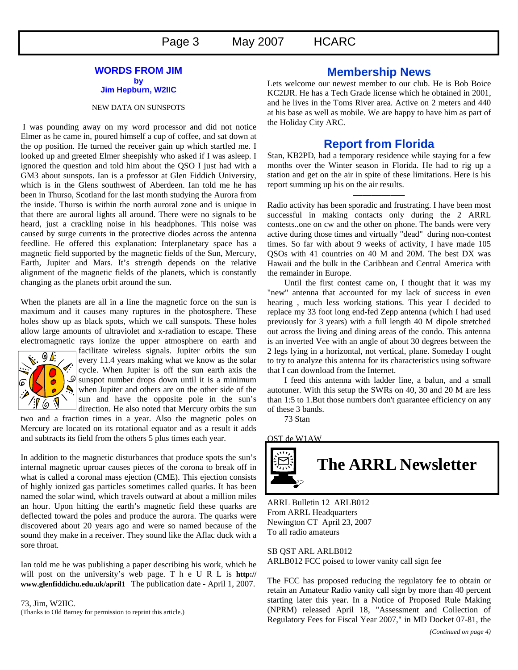#### **WORDS FROM JIM by Jim Hepburn, W2IIC**

#### NEW DATA ON SUNSPOTS

 I was pounding away on my word processor and did not notice Elmer as he came in, poured himself a cup of coffee, and sat down at the op position. He turned the receiver gain up which startled me. I looked up and greeted Elmer sheepishly who asked if I was asleep. I ignored the question and told him about the QSO I just had with a GM3 about sunspots. Ian is a professor at Glen Fiddich University, which is in the Glens southwest of Aberdeen. Ian told me he has been in Thurso, Scotland for the last month studying the Aurora from the inside. Thurso is within the north auroral zone and is unique in that there are auroral lights all around. There were no signals to be heard, just a crackling noise in his headphones. This noise was caused by surge currents in the protective diodes across the antenna feedline. He offered this explanation: Interplanetary space has a magnetic field supported by the magnetic fields of the Sun, Mercury, Earth, Jupiter and Mars. It's strength depends on the relative alignment of the magnetic fields of the planets, which is constantly changing as the planets orbit around the sun.

When the planets are all in a line the magnetic force on the sun is maximum and it causes many ruptures in the photosphere. These holes show up as black spots, which we call sunspots. These holes allow large amounts of ultraviolet and x-radiation to escape. These electromagnetic rays ionize the upper atmosphere on earth and



facilitate wireless signals. Jupiter orbits the sun every 11.4 years making what we know as the solar cycle. When Jupiter is off the sun earth axis the  $\mathcal{S}$  sunspot number drops down until it is a minimum when Jupiter and others are on the other side of the sun and have the opposite pole in the sun's direction. He also noted that Mercury orbits the sun

two and a fraction times in a year. Also the magnetic poles on Mercury are located on its rotational equator and as a result it adds and subtracts its field from the others 5 plus times each year.

In addition to the magnetic disturbances that produce spots the sun's internal magnetic uproar causes pieces of the corona to break off in what is called a coronal mass ejection (CME). This ejection consists of highly ionized gas particles sometimes called quarks. It has been named the solar wind, which travels outward at about a million miles an hour. Upon hitting the earth's magnetic field these quarks are deflected toward the poles and produce the aurora. The quarks were discovered about 20 years ago and were so named because of the sound they make in a receiver. They sound like the Aflac duck with a sore throat.

Ian told me he was publishing a paper describing his work, which he will post on the university's web page. T h e U R L is **http:// www.glenfiddichu.edu.uk/april1** The publication date - April 1, 2007.

73, Jim, W2IIC. (Thanks to Old Barney for permission to reprint this article.)

# **Membership News**

Lets welcome our newest member to our club. He is Bob Boice KC2IJR. He has a Tech Grade license which he obtained in 2001, and he lives in the Toms River area. Active on 2 meters and 440 at his base as well as mobile. We are happy to have him as part of the Holiday City ARC.

# **Report from Florida**

Stan, KB2PD, had a temporary residence while staying for a few months over the Winter season in Florida. He had to rig up a station and get on the air in spite of these limitations. Here is his report summing up his on the air results.

—————–

Radio activity has been sporadic and frustrating. I have been most successful in making contacts only during the 2 ARRL contests..one on cw and the other on phone. The bands were very active during those times and virtually "dead" during non-contest times. So far with about 9 weeks of activity, I have made 105 QSOs with 41 countries on 40 M and 20M. The best DX was Hawaii and the bulk in the Caribbean and Central America with the remainder in Europe.

 Until the first contest came on, I thought that it was my "new" antenna that accounted for my lack of success in even hearing , much less working stations. This year I decided to replace my 33 foot long end-fed Zepp antenna (which I had used previously for 3 years) with a full length 40 M dipole stretched out across the living and dining areas of the condo. This antenna is an inverted Vee with an angle of about 30 degrees between the 2 legs lying in a horizontal, not vertical, plane. Someday I ought to try to analyze this antenna for its characteristics using software that I can download from the Internet.

 I feed this antenna with ladder line, a balun, and a small autotuner. With this setup the SWRs on 40, 30 and 20 M are less than 1:5 to 1.But those numbers don't guarantee efficiency on any of these 3 bands.

73 Stan

OST de W1AW



ARRL Bulletin 12 ARLB012 From ARRL Headquarters Newington CT April 23, 2007 To all radio amateurs

SB QST ARL ARLB012 ARLB012 FCC poised to lower vanity call sign fee

The FCC has proposed reducing the regulatory fee to obtain or retain an Amateur Radio vanity call sign by more than 40 percent starting later this year. In a Notice of Proposed Rule Making (NPRM) released April 18, "Assessment and Collection of Regulatory Fees for Fiscal Year 2007," in MD Docket 07-81, the